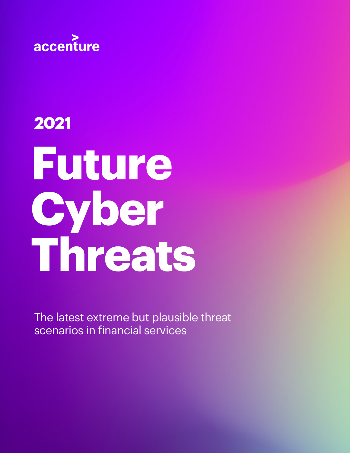

# **Future Cyber Threats 2021**

The latest extreme but plausible threat scenarios in financial services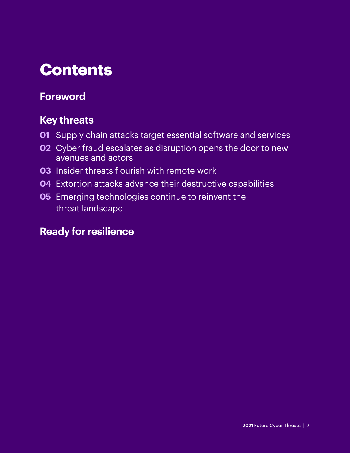# **Contents**

### **Foreword**

### **Key threats**

- **01** Supply chain attacks target essential software and services
- **02** Cyber fraud escalates as disruption opens the door to new avenues and actors
- **03** Insider threats flourish with remote work
- **04** Extortion attacks advance their destructive capabilities
- **05** Emerging technologies continue to reinvent the threat landscape

### **Ready for resilience**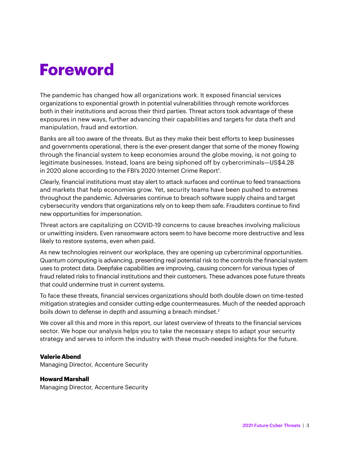# **Foreword**

The pandemic has changed how all organizations work. It exposed financial services organizations to exponential growth in potential vulnerabilities through remote workforces both in their institutions and across their third parties. Threat actors took advantage of these exposures in new ways, further advancing their capabilities and targets for data theft and manipulation, fraud and extortion.

Banks are all too aware of the threats. But as they make their best efforts to keep businesses and governments operational, there is the ever-present danger that some of the money flowing through the financial system to keep economies around the globe moving, is not going to legitimate businesses. Instead, loans are being siphoned off by cybercriminals—US\$4.2B in 2020 alone according to the FBI's 2020 Internet Crime Report<sup>1</sup>.

Clearly, financial institutions must stay alert to attack surfaces and continue to feed transactions and markets that help economies grow. Yet, security teams have been pushed to extremes throughout the pandemic. Adversaries continue to breach software supply chains and target cybersecurity vendors that organizations rely on to keep them safe. Fraudsters continue to find new opportunities for impersonation.

Threat actors are capitalizing on COVID-19 concerns to cause breaches involving malicious or unwitting insiders. Even ransomware actors seem to have become more destructive and less likely to restore systems, even when paid.

As new technologies reinvent our workplace, they are opening up cybercriminal opportunities. Quantum computing is advancing, presenting real potential risk to the controls the financial system uses to protect data. Deepfake capabilities are improving, causing concern for various types of fraud related risks to financial institutions and their customers. These advances pose future threats that could undermine trust in current systems.

To face these threats, financial services organizations should both double down on time-tested mitigation strategies and consider cutting-edge countermeasures. Much of the needed approach boils down to defense in depth and assuming a breach mindset.<sup>2</sup>

We cover all this and more in this report, our latest overview of threats to the financial services sector. We hope our analysis helps you to take the necessary steps to adapt your security strategy and serves to inform the industry with these much-needed insights for the future.

#### **Valerie Abend**

Managing Director, Accenture Security

#### **Howard Marshall**

Managing Director, Accenture Security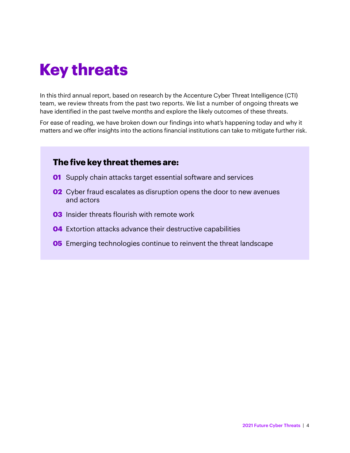# **Key threats**

In this third annual report, based on research by the Accenture Cyber Threat Intelligence (CTI) team, we review threats from the past two reports. We list a number of ongoing threats we have identified in the past twelve months and explore the likely outcomes of these threats.

For ease of reading, we have broken down our findings into what's happening today and why it matters and we offer insights into the actions financial institutions can take to mitigate further risk.

#### **The five key threat themes are:**

- **01** Supply chain attacks target essential software and services
- **02** Cyber fraud escalates as disruption opens the door to new avenues and actors
- **03** Insider threats flourish with remote work
- **04** Extortion attacks advance their destructive capabilities
- **05** Emerging technologies continue to reinvent the threat landscape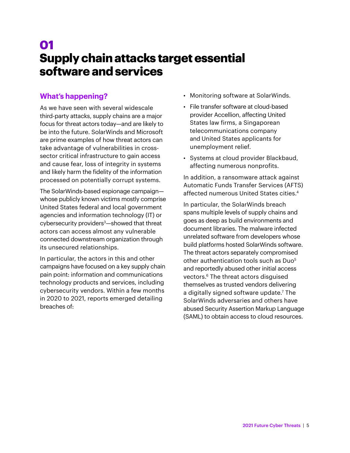# **01 Supply chain attacks target essential software and services**

#### **What's happening?**

As we have seen with several widescale third-party attacks, supply chains are a major focus for threat actors today—and are likely to be into the future. SolarWinds and Microsoft are prime examples of how threat actors can take advantage of vulnerabilities in crosssector critical infrastructure to gain access and cause fear, loss of integrity in systems and likely harm the fidelity of the information processed on potentially corrupt systems.

The SolarWinds-based espionage campaign whose publicly known victims mostly comprise United States federal and local government agencies and information technology (IT) or cybersecurity providers<sup>3</sup>—showed that threat actors can access almost any vulnerable connected downstream organization through its unsecured relationships.

In particular, the actors in this and other campaigns have focused on a key supply chain pain point: information and communications technology products and services, including cybersecurity vendors. Within a few months in 2020 to 2021, reports emerged detailing breaches of:

- Monitoring software at SolarWinds.
- File transfer software at cloud-based provider Accellion, affecting United States law firms, a Singaporean telecommunications company and United States applicants for unemployment relief.
- Systems at cloud provider Blackbaud, affecting numerous nonprofits.

In addition, a ransomware attack against Automatic Funds Transfer Services (AFTS) affected numerous United States cities.4

In particular, the SolarWinds breach spans multiple levels of supply chains and goes as deep as build environments and document libraries. The malware infected unrelated software from developers whose build platforms hosted SolarWinds software. The threat actors separately compromised other authentication tools such as Duo<sup>5</sup> and reportedly abused other initial access vectors.<sup>6</sup> The threat actors disguised themselves as trusted vendors delivering a digitally signed software update.7 The SolarWinds adversaries and others have abused Security Assertion Markup Language (SAML) to obtain access to cloud resources.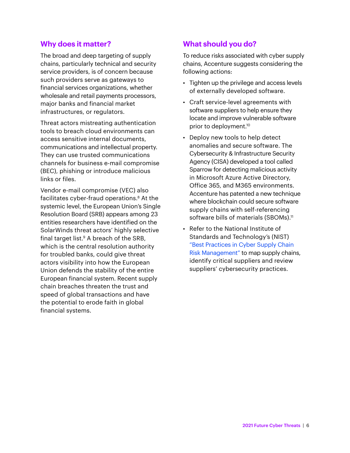The broad and deep targeting of supply chains, particularly technical and security service providers, is of concern because such providers serve as gateways to financial services organizations, whether wholesale and retail payments processors, major banks and financial market infrastructures, or regulators.

Threat actors mistreating authentication tools to breach cloud environments can access sensitive internal documents, communications and intellectual property. They can use trusted communications channels for business e-mail compromise (BEC), phishing or introduce malicious links or files.

Vendor e-mail compromise (VEC) also facilitates cyber-fraud operations.<sup>8</sup> At the systemic level, the European Union's Single Resolution Board (SRB) appears among 23 entities researchers have identified on the SolarWinds threat actors' highly selective final target list. $9$  A breach of the SRB, which is the central resolution authority for troubled banks, could give threat actors visibility into how the European Union defends the stability of the entire European financial system. Recent supply chain breaches threaten the trust and speed of global transactions and have the potential to erode faith in global financial systems.

#### **What should you do?**

To reduce risks associated with cyber supply chains, Accenture suggests considering the following actions:

- Tighten up the privilege and access levels of externally developed software.
- Craft service-level agreements with software suppliers to help ensure they locate and improve vulnerable software prior to deployment.10
- Deploy new tools to help detect anomalies and secure software. The Cybersecurity & Infrastructure Security Agency (CISA) developed a tool called Sparrow for detecting malicious activity in Microsoft Azure Active Directory, Office 365, and M365 environments. Accenture has patented a new technique where blockchain could secure software supply chains with self-referencing software bills of materials (SBOMs).<sup>11</sup>
- Refer to the National Institute of Standards and Technology's (NIST) "Best Practices in Cyber Supply Chain Risk Management" to map supply chains, identify critical suppliers and review suppliers' cybersecurity practices.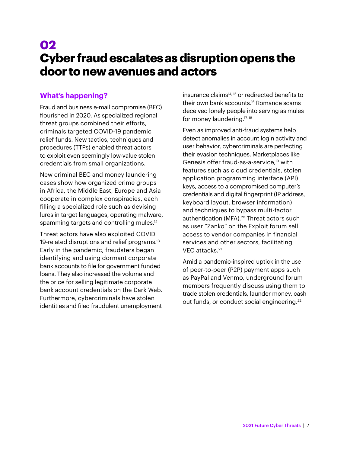# **02 Cyber fraud escalates as disruption opens the door to new avenues and actors**

#### **What's happening?**

Fraud and business e-mail compromise (BEC) flourished in 2020. As specialized regional threat groups combined their efforts, criminals targeted COVID-19 pandemic relief funds. New tactics, techniques and procedures (TTPs) enabled threat actors to exploit even seemingly low-value stolen credentials from small organizations.

New criminal BEC and money laundering cases show how organized crime groups in Africa, the Middle East, Europe and Asia cooperate in complex conspiracies, each filling a specialized role such as devising lures in target languages, operating malware, spamming targets and controlling mules.<sup>12</sup>

Threat actors have also exploited COVID 19-related disruptions and relief programs.<sup>13</sup> Early in the pandemic, fraudsters began identifying and using dormant corporate bank accounts to file for government funded loans. They also increased the volume and the price for selling legitimate corporate bank account credentials on the Dark Web. Furthermore, cybercriminals have stolen identities and filed fraudulent unemployment

insurance claims<sup>14, 15</sup> or redirected benefits to their own bank accounts.16 Romance scams deceived lonely people into serving as mules for money laundering.<sup>17, 18</sup>

Even as improved anti-fraud systems help detect anomalies in account login activity and user behavior, cybercriminals are perfecting their evasion techniques. Marketplaces like Genesis offer fraud-as-a-service,<sup>19</sup> with features such as cloud credentials, stolen application programming interface (API) keys, access to a compromised computer's credentials and digital fingerprint (IP address, keyboard layout, browser information) and techniques to bypass multi-factor authentication (MFA).<sup>20</sup> Threat actors such as user "Zanko" on the Exploit forum sell access to vendor companies in financial services and other sectors, facilitating VEC attacks.21

Amid a pandemic-inspired uptick in the use of peer-to-peer (P2P) payment apps such as PayPal and Venmo, underground forum members frequently discuss using them to trade stolen credentials, launder money, cash out funds, or conduct social engineering.<sup>22</sup>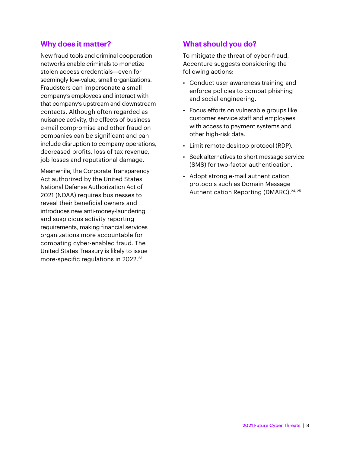New fraud tools and criminal cooperation networks enable criminals to monetize stolen access credentials—even for seemingly low-value, small organizations. Fraudsters can impersonate a small company's employees and interact with that company's upstream and downstream contacts. Although often regarded as nuisance activity, the effects of business e-mail compromise and other fraud on companies can be significant and can include disruption to company operations, decreased profits, loss of tax revenue, job losses and reputational damage.

Meanwhile, the Corporate Transparency Act authorized by the United States National Defense Authorization Act of 2021 (NDAA) requires businesses to reveal their beneficial owners and introduces new anti-money-laundering and suspicious activity reporting requirements, making financial services organizations more accountable for combating cyber-enabled fraud. The United States Treasury is likely to issue more-specific regulations in 2022.<sup>23</sup>

#### **What should you do?**

To mitigate the threat of cyber-fraud, Accenture suggests considering the following actions:

- Conduct user awareness training and enforce policies to combat phishing and social engineering.
- Focus efforts on vulnerable groups like customer service staff and employees with access to payment systems and other high-risk data.
- Limit remote desktop protocol (RDP).
- Seek alternatives to short message service (SMS) for two-factor authentication.
- Adopt strong e-mail authentication protocols such as Domain Message Authentication Reporting (DMARC).<sup>24, 25</sup>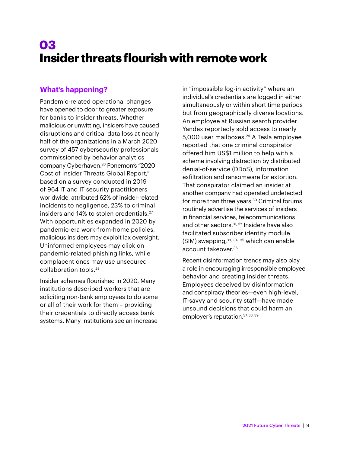# **03 Insider threats flourish with remote work**

#### **What's happening?**

Pandemic-related operational changes have opened to door to greater exposure for banks to insider threats. Whether malicious or unwitting, insiders have caused disruptions and critical data loss at nearly half of the organizations in a March 2020 survey of 457 cybersecurity professionals commissioned by behavior analytics company Cyberhaven.26 Ponemon's "2020 Cost of Insider Threats Global Report," based on a survey conducted in 2019 of 964 IT and IT security practitioners worldwide, attributed 62% of insider-related incidents to negligence, 23% to criminal insiders and 14% to stolen credentials.27 With opportunities expanded in 2020 by pandemic-era work-from-home policies, malicious insiders may exploit lax oversight. Uninformed employees may click on pandemic-related phishing links, while complacent ones may use unsecured collaboration tools.28

Insider schemes flourished in 2020. Many institutions described workers that are soliciting non-bank employees to do some or all of their work for them – providing their credentials to directly access bank systems. Many institutions see an increase

in "impossible log-in activity" where an individual's credentials are logged in either simultaneously or within short time periods but from geographically diverse locations. An employee at Russian search provider Yandex reportedly sold access to nearly 5,000 user mailboxes.29 A Tesla employee reported that one criminal conspirator offered him US\$1 million to help with a scheme involving distraction by distributed denial-of-service (DDoS), information exfiltration and ransomware for extortion. That conspirator claimed an insider at another company had operated undetected for more than three years.30 Criminal forums routinely advertise the services of insiders in financial services, telecommunications and other sectors.<sup>31, 32</sup> Insiders have also facilitated subscriber identity module (SIM) swapping,  $33, 34, 35$  which can enable account takeover.<sup>36</sup>

Recent disinformation trends may also play a role in encouraging irresponsible employee behavior and creating insider threats. Employees deceived by disinformation and conspiracy theories—even high-level, IT-savvy and security staff—have made unsound decisions that could harm an employer's reputation. 37, 38, 39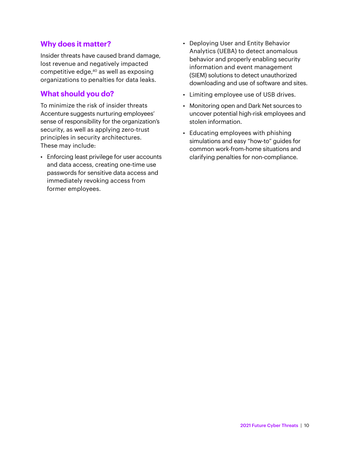Insider threats have caused brand damage, lost revenue and negatively impacted competitive edge,<sup>40</sup> as well as exposing organizations to penalties for data leaks.

#### **What should you do?**

To minimize the risk of insider threats Accenture suggests nurturing employees' sense of responsibility for the organization's security, as well as applying zero-trust principles in security architectures. These may include:

• Enforcing least privilege for user accounts and data access, creating one-time use passwords for sensitive data access and immediately revoking access from former employees.

- Deploying User and Entity Behavior Analytics (UEBA) to detect anomalous behavior and properly enabling security information and event management (SIEM) solutions to detect unauthorized downloading and use of software and sites.
- Limiting employee use of USB drives.
- Monitoring open and Dark Net sources to uncover potential high-risk employees and stolen information.
- Educating employees with phishing simulations and easy "how-to" guides for common work-from-home situations and clarifying penalties for non-compliance.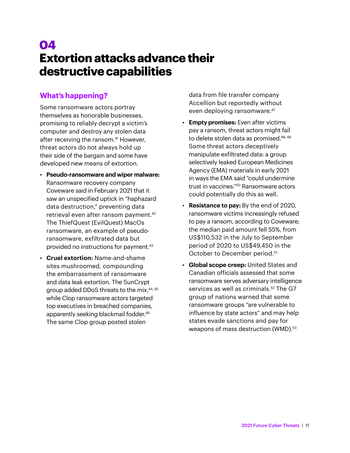# **04 Extortion attacks advance their destructive capabilities**

#### **What's happening?**

Some ransomware actors portray themselves as honorable businesses, promising to reliably decrypt a victim's computer and destroy any stolen data after receiving the ransom.41 However, threat actors do not always hold up their side of the bargain and some have developed new means of extortion.

- **Pseudo-ransomware and wiper malware:** Ransomware recovery company Coveware said in February 2021 that it saw an unspecified uptick in "haphazard data destruction," preventing data retrieval even after ransom payment.<sup>42</sup> The ThiefQuest (EvilQuest) MacOs ransomware, an example of pseudoransomware, exfiltrated data but provided no instructions for payment.<sup>43</sup>
- **Cruel extortion:** Name-and-shame sites mushroomed, compounding the embarrassment of ransomware and data leak extortion. The SunCrypt group added DDoS threats to the mix, 44, 45 while Clop ransomware actors targeted top executives in breached companies, apparently seeking blackmail fodder.<sup>46</sup> The same Clop group posted stolen

data from file transfer company Accellion but reportedly without even deploying ransomware.<sup>47</sup>

- **Empty promises:** Even after victims pay a ransom, threat actors might fail to delete stolen data as promised.48, 49 Some threat actors deceptively manipulate exfiltrated data: a group selectively leaked European Medicines Agency (EMA) materials in early 2021 in ways the EMA said "could undermine trust in vaccines."50 Ransomware actors could potentially do this as well.
- **Resistance to pay:** By the end of 2020, ransomware victims increasingly refused to pay a ransom, according to Coveware; the median paid amount fell 55%, from US\$110,532 in the July to September period of 2020 to US\$49,450 in the October to December period.<sup>51</sup>
- **Global scope creep:** United States and Canadian officials assessed that some ransomware serves adversary intelligence services as well as criminals.<sup>52</sup> The G7 group of nations warned that some ransomware groups "are vulnerable to influence by state actors" and may help states evade sanctions and pay for weapons of mass destruction (WMD).<sup>53</sup>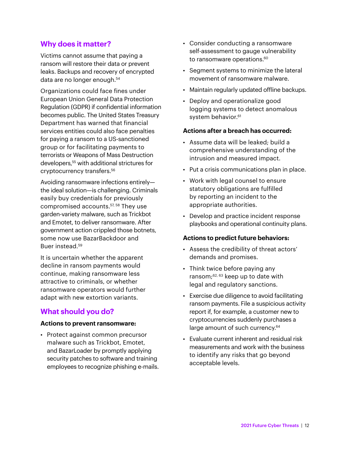Victims cannot assume that paying a ransom will restore their data or prevent leaks. Backups and recovery of encrypted data are no longer enough.<sup>54</sup>

Organizations could face fines under European Union General Data Protection Regulation (GDPR) if confidential information becomes public. The United States Treasury Department has warned that financial services entities could also face penalties for paying a ransom to a US-sanctioned group or for facilitating payments to terrorists or Weapons of Mass Destruction developers,55 with additional strictures for cryptocurrency transfers.56

Avoiding ransomware infections entirely the ideal solution—is challenging. Criminals easily buy credentials for previously compromised accounts.57, 58 They use garden-variety malware, such as Trickbot and Emotet, to deliver ransomware. After government action crippled those botnets, some now use BazarBackdoor and Buer instead.<sup>59</sup>

It is uncertain whether the apparent decline in ransom payments would continue, making ransomware less attractive to criminals, or whether ransomware operators would further adapt with new extortion variants.

#### **What should you do?**

#### **Actions to prevent ransomware:**

• Protect against common precursor malware such as Trickbot, Emotet, and BazarLoader by promptly applying security patches to software and training employees to recognize phishing e-mails.

- Consider conducting a ransomware self-assessment to gauge vulnerability to ransomware operations.<sup>60</sup>
- Segment systems to minimize the lateral movement of ransomware malware.
- Maintain regularly updated offline backups.
- Deploy and operationalize good logging systems to detect anomalous system behavior.<sup>61</sup>

#### **Actions after a breach has occurred:**

- Assume data will be leaked; build a comprehensive understanding of the intrusion and measured impact.
- Put a crisis communications plan in place.
- Work with legal counsel to ensure statutory obligations are fulfilled by reporting an incident to the appropriate authorities.
- Develop and practice incident response playbooks and operational continuity plans.

#### **Actions to predict future behaviors:**

- Assess the credibility of threat actors' demands and promises.
- Think twice before paying any ransom;62, 63 keep up to date with legal and regulatory sanctions.
- Exercise due diligence to avoid facilitating ransom payments. File a suspicious activity report if, for example, a customer new to cryptocurrencies suddenly purchases a large amount of such currency.<sup>64</sup>
- Evaluate current inherent and residual risk measurements and work with the business to identify any risks that go beyond acceptable levels.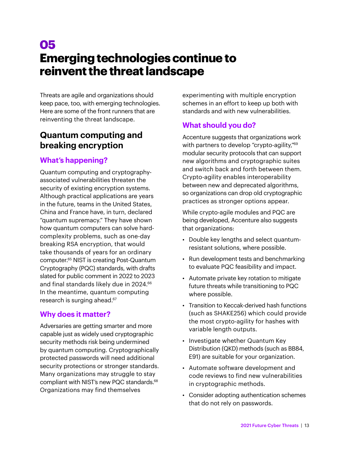# **05 Emerging technologies continue to reinvent the threat landscape**

Threats are agile and organizations should keep pace, too, with emerging technologies. Here are some of the front runners that are reinventing the threat landscape.

#### **Quantum computing and breaking encryption**

#### **What's happening?**

Quantum computing and cryptographyassociated vulnerabilities threaten the security of existing encryption systems. Although practical applications are years in the future, teams in the United States, China and France have, in turn, declared "quantum supremacy." They have shown how quantum computers can solve hardcomplexity problems, such as one-day breaking RSA encryption, that would take thousands of years for an ordinary computer.65 NIST is creating Post-Quantum Cryptography (PQC) standards, with drafts slated for public comment in 2022 to 2023 and final standards likely due in 2024.<sup>66</sup> In the meantime, quantum computing research is surging ahead.<sup>67</sup>

#### **Why does it matter?**

Adversaries are getting smarter and more capable just as widely used cryptographic security methods risk being undermined by quantum computing. Cryptographically protected passwords will need additional security protections or stronger standards. Many organizations may struggle to stay compliant with NIST's new PQC standards.68 Organizations may find themselves

experimenting with multiple encryption schemes in an effort to keep up both with standards and with new vulnerabilities.

#### **What should you do?**

Accenture suggests that organizations work with partners to develop "crypto-agility,"<sup>69</sup> modular security protocols that can support new algorithms and cryptographic suites and switch back and forth between them. Crypto-agility enables interoperability between new and deprecated algorithms, so organizations can drop old cryptographic practices as stronger options appear.

While crypto-agile modules and PQC are being developed, Accenture also suggests that organizations:

- Double key lengths and select quantumresistant solutions, where possible.
- Run development tests and benchmarking to evaluate PQC feasibility and impact.
- Automate private key rotation to mitigate future threats while transitioning to PQC where possible.
- Transition to Keccak-derived hash functions (such as SHAKE256) which could provide the most crypto-agility for hashes with variable length outputs.
- Investigate whether Quantum Key Distribution (QKD) methods (such as BB84, E91) are suitable for your organization.
- Automate software development and code reviews to find new vulnerabilities in cryptographic methods.
- Consider adopting authentication schemes that do not rely on passwords.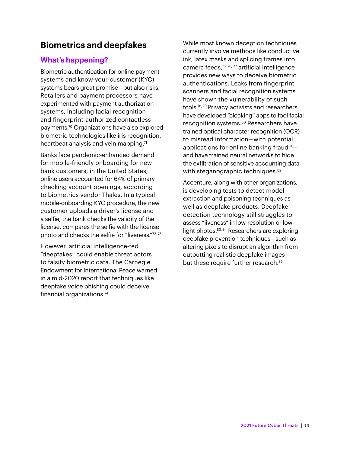#### **Biometrics and deepfakes**

#### **What's happening?**

Biometric authentication for online payment systems and know-your-customer (KYC) systems bears great promise—but also risks. Retailers and payment processors have experimented with payment authorization systems, including facial recognition and fingerprint-authorized contactless payments.70 Organizations have also explored biometric technologies like iris recognition, heartbeat analysis and vein mapping. $71$ 

Banks face pandemic-enhanced demand for mobile-friendly onboarding for new bank customers; in the United States, online users accounted for 64% of primary checking account openings, according to biometrics vendor Thales. In a typical mobile-onboarding KYC procedure, the new customer uploads a driver's license and a selfie; the bank checks the validity of the license, compares the selfie with the license photo and checks the selfie for "liveness."72, 73

However, artificial intelligence-fed "deepfakes" could enable threat actors to falsify biometric data. The Carnegie Endowment for International Peace warned in a mid-2020 report that techniques like deepfake voice phishing could deceive financial organizations.<sup>74</sup>

While most known deception techniques currently involve methods like conductive ink, latex masks and splicing frames into camera feeds,75, 76, 77 artificial intelligence provides new ways to deceive biometric authentications. Leaks from fingerprint scanners and facial recognition systems have shown the vulnerability of such tools.78, 79 Privacy activists and researchers have developed "cloaking" apps to fool facial recognition systems.80 Researchers have trained optical character recognition (OCR) to misread information—with potential applications for online banking fraud $81$ and have trained neural networks to hide the exfiltration of sensitive accounting data with steganographic techniques.<sup>82</sup>

Accenture, along with other organizations, is developing tests to detect model extraction and poisoning techniques as well as deepfake products. Deepfake detection technology still struggles to assess "liveness" in low-resolution or lowlight photos.<sup>83, 84</sup> Researchers are exploring deepfake prevention techniques—such as altering pixels to disrupt an algorithm from outputting realistic deepfake images but these require further research.<sup>85</sup>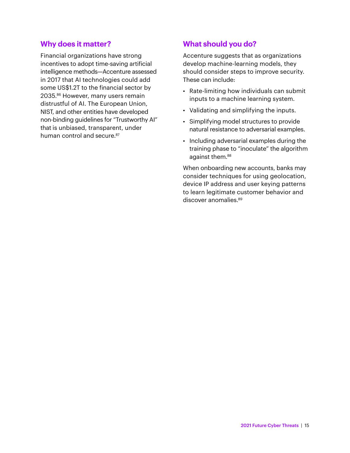Financial organizations have strong incentives to adopt time-saving artificial intelligence methods—Accenture assessed in 2017 that AI technologies could add some US\$1.2T to the financial sector by 2035.<sup>86</sup> However, many users remain distrustful of AI. The European Union, NIST, and other entities have developed non-binding guidelines for "Trustworthy AI" that is unbiased, transparent, under human control and secure.<sup>87</sup>

#### **What should you do?**

Accenture suggests that as organizations develop machine-learning models, they should consider steps to improve security. These can include:

- Rate-limiting how individuals can submit inputs to a machine learning system.
- Validating and simplifying the inputs.
- Simplifying model structures to provide natural resistance to adversarial examples.
- Including adversarial examples during the training phase to "inoculate" the algorithm against them.<sup>88</sup>

When onboarding new accounts, banks may consider techniques for using geolocation, device IP address and user keying patterns to learn legitimate customer behavior and discover anomalies.<sup>89</sup>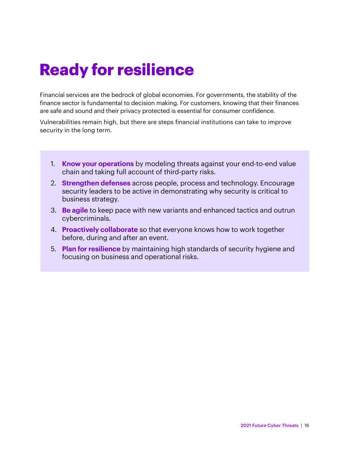# **Ready for resilience**

Financial services are the bedrock of global economies. For governments, the stability of the finance sector is fundamental to decision making. For customers, knowing that their finances are safe and sound and their privacy protected is essential for consumer confidence.

Vulnerabilities remain high, but there are steps financial institutions can take to improve security in the long term.

- 1. **Know your operations** by modeling threats against your end-to-end value chain and taking full account of third-party risks.
- 2. **Strengthen defenses** across people, process and technology. Encourage security leaders to be active in demonstrating why security is critical to business strategy.
- 3. **Be agile** to keep pace with new variants and enhanced tactics and outrun cybercriminals.
- 4. **Proactively collaborate** so that everyone knows how to work together before, during and after an event.
- 5. **Plan for resilience** by maintaining high standards of security hygiene and focusing on business and operational risks.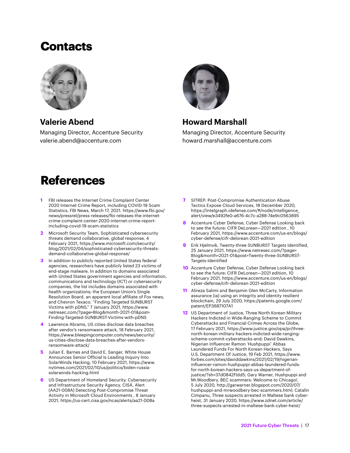### **Contacts**



**Valerie Abend** 

Managing Director, Accenture Security valerie.abend@accenture.com



#### **Howard Marshall**

Managing Director, Accenture Security howard.marshall@accenture.com

## **References**

- **1** FBI releases the Internet Crime Complaint Center 2020 Internet Crime Report, including COVID-19 Scam Statistics, FBI News, March 17, 2021. https://www.fbi.gov/ news/pressrel/press-releases/fbi-releases-the-internetcrime-complaint-center-2020-internet-crime-reportincluding-covid-19-scam-statistics
- **2** Microsoft Security Team, Sophisticated cybersecurity threats demand collaborative, global response, 4 February 2021, https://www.microsoft.com/security/ blog/2021/02/04/sophisticated-cybersecurity-threatsdemand-collaborative-global-response/
- **3** In addition to publicly reported United States federal agencies, researchers have publicly listed 23 victims of end-stage malware. In addition to domains associated with United States government agencies and information, communications and technology (ICT) or cybersecurity companies, the list includes domains associated with health organizations; the European Union's Single Resolution Board, an apparent local affiliate of Fox news, and Chevron Texaco. "Finding Targeted SUNBURST Victims with pDNS," 7 January 2021, https://www. netresec.com/?page=Blog&month-2021-01&post= Finding-Targeted-SUNBURST-Victims-with-pDNS
- **4** Lawrence Abrams, US cities disclose data breaches after vendor's ransomware attack, 18 February 2021, https://www.bleepingcomputer.com/news/security/ us-cities-disclose-data-breaches-after-vendorsransomware-attack/
- **5** Julian E. Barnes and David E. Sanger, White House Announces Senior Official Is Leading Inquiry Into SolarWinds Hacking, 10 February 2021, https://www. nytimes.com/2021/02/10/us/politics/biden-russiasolarwinds-hacking.html
- **6** US Department of Homeland Security, Cybersecurity and Infrastructure Security Agency, CISA, Alert (AA21-008A) Detecting Post-Compromise Threat Activity in Microsoft Cloud Environments , 8 January 2021, https://us-cert.cisa.gov/ncas/alerts/aa21-008a
- **7** SITREP: Post-Compromise Authentication Abuse Tactics Expose Cloud Services, 18 December 2020, https://intelgraph.idefense.com/#/node/intelligence\_ alert/view/e3492fe0-a676-4c7c-a288-74e9c0563895
- **8** Accenture Cyber Defense, Cyber Defense Looking back to see the future: CIFR DeLorean—2021 edition , 10 February 2021, https://www.accenture.com/us-en/blogs/ cyber-defense/cifr-delorean-2021-edition
- **9** Erik Hjelmvik, Twenty-three SUNBURST Targets Identified, 25 January 2021, https://www.netresec.com/?page= Blog&month=2021-01&post=Twenty-three-SUNBURST-Targets-Identified
- **10** Accenture Cyber Defense, Cyber Defense Looking back to see the future: CIFR DeLorean—2021 edition, 10 February 2021, https://www.accenture.com/us-en/blogs/ cyber-defense/cifr-delorean-2021-edition
- **11** Alireza Salimi and Benjamin Glen McCarty, Information assurance (ia) using an integrity and identity resilient blockchain, 29 July 2020, https://patents.google.com/ patent/EP3687107A1
- **12** US Department of Justice, Three North Korean Military Hackers Indicted in Wide-Ranging Scheme to Commit Cyberattacks and Financial Crimes Across the Globe, 17 February 2021, https://www.justice.gov/opa/pr/threenorth-korean-military-hackers-indicted-wide-rangingscheme-commit-cyberattacks-and; David Dawkins, Nigerian Influencer Ramon 'Hushpuppi' Abbas Laundered Funds For North Korean Hackers, Says U.S. Department Of Justice, 19 Feb 2021, https://www. forbes.com/sites/daviddawkins/2021/02/19/nigerianinfluencer-ramon-hushpuppi-abbas-laundered-fundsfor-north-korean-hackers-says-us-department-ofjustice/?sh=37d0842f1dd5; Gary Warner, Hushpuppi and Mr.Woodbery, BEC scammers: Welcome to Chicago!, 5 July 2020, http://garwarner.blogspot.com/2020/07/ hushpuppi-and-mrwoodbery-bec-scammers.html; Catalin Cimpanu, Three suspects arrested in Maltese bank cyberheist, 31 January 2020, https://www.zdnet.com/article/ three-suspects-arrested-in-maltese-bank-cyber-heist/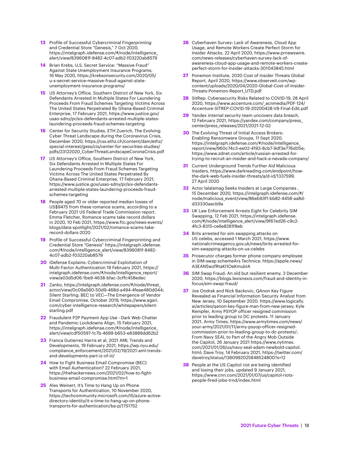- **13** Profile of Successful Cybercriminal Fingerprinting and Credential Store "Genesis," 7 Oct 2020, https://intelgraph.idefense.com/#/node/intelligence\_ alert/view/8396081f-8482-4c07-adb2-f03220ab8579
- **14** Brian Krebs, U.S. Secret Service: "Massive Fraud" Against State Unemployment Insurance Programs, 16 May 2020, https://krebsonsecurity.com/2020/05/ u-s-secret-service-massive-fraud-against-stateunemployment-insurance-programs/
- **15** US Attorney's Office, Southern District of New York, Six Defendants Arrested In Multiple States For Laundering Proceeds From Fraud Schemes Targeting Victims Across The United States Perpetrated By Ghana-Based Criminal Enterprise, 17 February 2021, https://www.justice.gov/ usao-sdny/pr/six-defendants-arrested-multiple-stateslaundering-proceeds-fraud-schemes-targeting
- **16** Center for Security Studies, ETH Zuerich, The Evolving Cyber Threat Landscape during the Coronavirus Crisis, December 2020, https://css.ethz.ch/content/dam/ethz/ special-interest/gess/cis/center-for-securities-studies/ pdfs/23122020\_CyberThreatLandscapeCoronaCrisis.pdf
- **17** US Attorney's Office, Southern District of New York, Six Defendants Arrested In Multiple States For Laundering Proceeds From Fraud Schemes Targeting Victims Across The United States Perpetrated By Ghana-Based Criminal Enterprise, 17 February 2021, https://www.justice.gov/usao-sdny/pr/six-defendantsarrested-multiple-states-laundering-proceeds-fraudschemes-targeting
- **18** People aged 70 or older reported median losses of US\$9475 from these romance scams, according to a February 2021 US Federal Trade Commission report. Emma Fletcher, Romance scams take record dollars in 2020, 10 Feb 2021, https://www.ftc.gov/news-events/ blogs/data-spotlight/2021/02/romance-scams-takerecord-dollars-2020
- **19** Profile of Successful Cybercriminal Fingerprinting and Credential Store "Genesis" https://intelgraph.idefense. com/#/node/intelligence\_alert/view/8396081f-8482- 4c07-adb2-f03220ab8579
- **20** iDefense Explains: Cybercriminal Exploitation of Multi-Factor Authentication 19 February 2021, https:// intelgraph.idefense.com/#/node/intelligence\_report/ view/a03d5d06-1be9-4638-bfac-3cffc458edec
- **21** Zanko, https://intelgraph.idefense.com/#/node/threat\_ actor/view/0c09a560-50d9-468d-a494-4feae480d044; Silent Starling: BEC to VEC—The Emergence of Vendor Email Compromise, October 2019, https://www.agari. com/cyber-intelligence-research/whitepapers/silentstarling.pdf
- **22** Fraudulent P2P Payment App Use Dark Web Chatter and Pandemic Lockdowns Align, 15 February 2021, https://intelgraph.idefense.com/#/node/intelligence\_ alert/view/cdf50597-1c7b-4699-b653-e83889dd62b2
- **23** Franca Gutierrez Harris et al, 2021 AML Trends and Developments, 19 February 2021, https://wp.nyu.edu/ compliance\_enforcement/2021/02/19/2021-aml-trendsand-developments-part-iz-of-iii/
- **24** How to Fight Business Email Compromise (BEC) with Email Authentication? 22 February 2021, https://thehackernews.com/2021/02/how-to-fightbusiness-email-compromise.html?m=1
- **25** Alex Weinert, It's Time to Hang Up on Phone Transports for Authentication, 10 November 2020, https://techcommunity.microsoft.com/t5/azure-activedirectory-identity/it-s-time-to-hang-up-on-phonetransports-for-authentication/ba-p/1751752
- **26** Cyberhaven Survey: Lack of Awareness, Cloud App Usage, and Remote Workers Create Perfect Storm for Insider Attacks, 22 April 2020, https://www.prnewswire. com/news-releases/cyberhaven-survey-lack-ofawareness-cloud-app-usage-and-remote-workers-createperfect-storm-for-insider-attacks-301043845.html
- **27** Ponemon Institute, 2020 Cost of Insider Threats Global Report, April 2020, https://www.observeit.com/wpcontent/uploads/2020/04/2020-Global-Cost-of-Insider-Threats-Ponemon-Report\_UTD.pdf
- **28** SitRep: Cybersecurity Risks Related to COVID-19, 28 April 2020, https://www.accenture.com/\_acnmedia/PDF-124/ Accenture-SITREP-COVID-19-20200428-V8-Final-Edit.pdf
- **29** Yandex internal security team uncovers data breach, 12 February 2021, https://yandex.com/company/press\_ center/press\_releases/2021/2021-12-02
- **30** The Evolving Threat of Initial Access Brokers: Enabling Ransomware Groups, 11 Sept 2020, https://intelgraph.idefense.com/#/node/intelligence\_ report/view/960c74c3-ee02-4193-8cb7-9df3e776d05e; https://www.zdnet.com/article/russian-arrested-fortrying-to-recruit-an-insider-and-hack-a-nevada-company/
- **31** Current Underground Trends Further Aid Malicious Insiders, https://www.darkreading.com/endpoint/howthe-dark-web-fuels-insider-threats/a/d-id/1337599, 27 April 2020
- **32** Actor lalalamag Seeks Insiders at Large Companies , 15 December 2020, https://intelgraph.idefense.com/#/ node/malicious\_event/view/86eb93f1-bb82-4458-aa8dd33330aacb9a
- **33** UK Law Enforcement Arrests Eight for Celebrity SIM Swapping, 12 Feb 2021, https://intelgraph.idefense. com/#/node/intelligence\_alert/view/9f67ed26-c9c2- 4fc3-8315-ce6e8281f8eb
- **34** Brits arrested for sim swapping attacks on US celebs, accessed 1 March 2021, https://www. nationalcrimeagency.gov.uk/news/brits-arrested-forsim-swapping-attacks-on-us-celebs
- **35** Prosecutor charges former phone company employee in SIM-swap schemeArs Technica: https://apple.news/ A3EAN5wzfRtaKI1OeKmubIA
- **36** SIM Swap Fraud: An old but resilient enemy, 3 December 2020, https://blogs.lexisnexis.com/fraud-and-identity-infocus/sim-swap-fraud/
- **37** Joe Ondrak and Nick Backovic, QAnon Key Figure Revealed as Financial Information Security Analyst from New Jersey. 10 September 2020. https://www.logically. ai/articles/qanon-key-figure-man-from-new-jersey; Kyle Rempfer, Army PSYOP officer resigned commission prior to leading group to DC protests. 11 January 2021. Army Times. https://www.armytimes.com/news/ your-army/2021/01/11/army-psyop-officer-resignedcommission-prior-to-leading-group-to-dc-protests/; From Navy SEAL to Part of the Angry Mob Outside the Capitol, 26 January 2021 https://www.nytimes. com/2021/01/26/us/navy-seal-adam-newbold-capitol. html; Dave Troy, 14 February 2021, https://twitter.com/ davetroy/status/1360992025848524800?s=12
- **38** People at the US Capitol riot are being identified and losing their jobs, updated 9 January 2021, https://www.cnn.com/2021/01/07/us/capitol-riotspeople-fired-jobs-trnd/index.html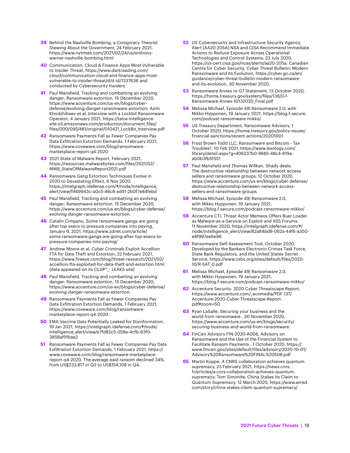- **39** Behind the Nashville Bombing, a Conspiracy Theorist Stewing About the Government, 24 February 2021, https://www.nytimes.com/2021/02/24/us/anthonywarner-nashville-bombing.html
- **40** Communication, Cloud & Finance Apps Most Vulnerable to Insider Threat, https://www.darkreading.com/ cloud/communication-cloud-and-finance-apps-mostvulnerable-to-insider-threat/d/d-id/1337636 and conducted by Cybersecurity Insiders
- **41** Paul Mansfield, Tracking and combatting an evolving danger: Ransomware extortion. 15 December 2020, https://www.accenture.com/us-en/blogs/cyberdefense/evolving-danger-ransomware-extortion; Azim Khodzhibaev et al, Interview with a Lockbit Ransomware Operator, 4 January 2021, https://talos-intelligencesite.s3.amazonaws.com/production/document\_files/ files/000/095/481/original/010421\_LockBit\_Interview.pdf
- **42** Ransomware Payments Fall as Fewer Companies Pay Data Exfiltration Extortion Demands, 1 February 2021, https://www.coveware.com/blog/ransomwaremarketplace-report-q4-2020
- **43** 2021 State of Malware Report, February 2021, https://resources.malwarebytes.com/files/2021/02/ MWB\_StateOfMalwareReport2021.pdf
- **44** Ransomware Gang Extortion Techniques Evolve in 2020 to Devastating Effect, 6 Nov 2020, https://intelgraph.idefense.com/#/node/intelligence\_ alert/view/f469943c-a0c5-46c8-ad91-2b0f7e84febd
- **45** Paul Mansfield, Tracking and combatting an evolving danger: Ransomware extortion. 15 December 2020, https://www.accenture.com/us-en/blogs/cyber-defense/ evolving-danger-ransomware-extortion.
- **46** Catalin Cimpanu, Some ransomware gangs are going after top execs to pressure companies into paying, January 9, 2021, https://www.zdnet.com/article/ some-ransomware-gangs-are-going-after-top-execs-topressure-companies-into-paying/
- **47** Andrew Moore et al, Cyber Criminals Exploit Accellion FTA for Data Theft and Extortion, 22 February 2021, https://www.fireeye.com/blog/threat-research/2021/02/ accellion-fta-exploited-for-data-theft-and-extortion.html (data appeared on its CL0P^\_- LEAKS site)
- **48** Paul Mansfield, Tracking and combatting an evolving danger: Ransomware extortion. 15 December 2020, https://www.accenture.com/us-en/blogs/cyber-defense/ evolving-danger-ransomware-extortion.
- **49** Ransomware Payments Fall as Fewer Companies Pay Data Exfiltration Extortion Demands, 1 February 2021, https://www.coveware.com/blog/ransomwaremarketplace-report-q4-2020
- **50** EMA Vaccine Data Potentially Leaked for Disinformation, 19 Jan 2021, https://intelgraph.idefense.com/#/node/ intelligence\_alert/view/e7fd82c5-058a-4cfb-83f0- 3858af5fbae2
- **51** Ransomware Payments Fall as Fewer Companies Pay Data Exfiltration Extortion Demands, 1 February 2021, https:// www.coveware.com/blog/ransomware-marketplacereport-q4-2020. The average paid ransom declined 34%, from US\$233,817 in Q3 to US\$154,108 in Q4.
- **52** US Cybersecurity and Infrastructure Security Agency, Alert (AA20-205A) NSA and CISA Recommend Immediate Actions to Reduce Exposure Across Operational Technologies and Control Systems, 23 July 2020, https://us-cert.cisa.gov/ncas/alerts/aa20-205a; Canadian Centre for Cyber Security, Cyber Threat Bulletin: Modern Ransomware and Its Evolution, https://cyber.gc.ca/en/ guidance/cyber-threat-bulletin-modern-ransomwareand-its-evolution, 30 November 2020.
- **53** Ransomware Annex to G7 Statement, 13 October 2020, https://home.treasury.gov/system/files/136/G7- Ransomware-Annex-10132020\_Final.pdf
- **54** Melissa Michael, Episode 49| Ransomware 2.0, with Mikko Hypponen, 19 January 2021, https://blog.f-secure. com/podcast-ransomware-mikko/
- **55** US Treasury Department, Ransomware Advisory, 1 October 2020, https://home.treasury.gov/policy-issues/ financial-sanctions/recent-actions/20201001
- **56** Frost Brown Todd LLC, Ransomware and Bitcoin Tax Troubles?, 10 Feb 2021, https://www.lexology.com/ library/detail.aspx?g=d06237b0-9685-48c4-819aab0b3fb5f551
- **57** Paul Mansfield and Thomas Willkan, Shady deals: The destructive relationship between network access sellers and ransomware groups, 12 October 2020, https://www.accenture.com/us-en/blogs/cyber-defense/ destructive-relationship-between-network-accesssellers-and-ransomware-groups
- **58** Melissa Michael, Episode 49| Ransomware 2.0, with Mikko Hypponen, 19 January 2021, https://blog.f-secure.com/podcast-ransomware-mikko/
- **59** Accenture CTI. Threat Actor Memeos Offers Buer Loader as Malware-as-a-Service on Exploit and XSS Forums. 11 November 2020, https://intelgraph.idefense.com/#/ node/intelligence\_alert/view/82a84bd9-062a-44f6-a350 e8f997ee6e96
- **60** Ransomware Self-Assessment Tool, October 2020, Developed by the Bankers Electronic Crimes Task Force, State Bank Regulators, and the United States Secret Service, https://www.csbs.org/sites/default/files/2020- 10/R-SAT\_0.pdf
- **61** Melissa Michael, Episode 49| Ransomware 2.0, with Mikko Hypponen, 19 January 2021, https://blog.f-secure.com/podcast-ransomware-mikko/
- **62** Accenture Security. 2020 Cyber Threatscape Report. https://www.accenture.com/\_acnmedia/PDF-137/ Accenture-2020-Cyber-Threatscape-Report. pdf#zoom=50
- **63** Ryan LaSalle, Securing your business and the world from ransomware , 30 November 2020, https://www.accenture.com/us-en/blogs/security/ securing-business-and-world-from-ransomware
- **64** FinCen Advisory FIN-2020-A006, Advisory on Ransomware and the Use of the Financial System to Facilitate Ransom Payments , 1 October 2020, https:// www.fincen.gov/sites/default/files/advisory/2020-10-01/ Advisory%20Ransomware%20FINAL%20508.pdf
- **65** Martin Koppe, A CNRS collaboration achieves quantum supremacy, 23 February 2021, https://news.cnrs. fr/articles/a-cnrs-collaboration-achieves-quantumsupremacy; Tom Simonite, China Stakes Its Claim to Quantum Supremacy, 12 March 2020, https://www.wired. com/story/china-stakes-claim-quantum-supremacy/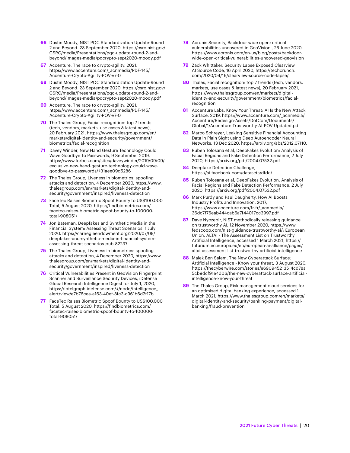- **66** Dustin Moody, NIST PQC Standardization Update-Round 2 and Beyond. 23 September 2020. https://csrc.nist.gov/ CSRC/media/Presentations/pqc-update-round-2-andbeyond/images-media/pqcrypto-sept2020-moody.pdf
- **67** Accenture, The race to crypto-agility, 2021, https://www.accenture.com/\_acnmedia/PDF-145/ Accenture-Crypto-Agility-POV-v7-0
- **68** Dustin Moody, NIST PQC Standardization Update-Round 2 and Beyond. 23 September 2020. https://csrc.nist.gov/ CSRC/media/Presentations/pqc-update-round-2-andbeyond/images-media/pqcrypto-sept2020-moody.pdf
- **69** Accenture, The race to crypto-agility, 2021, https://www.accenture.com/\_acnmedia/PDF-145/ Accenture-Crypto-Agility-POV-v7-0
- **70** The Thales Group, Facial recognition: top 7 trends (tech, vendors, markets, use cases & latest news), 20 February 2021, https://www.thalesgroup.com/en/ markets/digital-identity-and-security/government/ biometrics/facial-recognition
- **71** Davey Winder, New Hand Gesture Technology Could Wave Goodbye To Passwords, 9 September 2019, https://www.forbes.com/sites/daveywinder/2019/09/09/ exclusive-new-hand-gesture-technology-could-wavegoodbye-to-passwords/#31aee09d5286
- **72** The Thales Group, Liveness in biometrics: spoofing attacks and detection, 4 December 2020, https://www. thalesgroup.com/en/markets/digital-identity-andsecurity/government/inspired/liveness-detection
- **73** FaceTec Raises Biometric Spoof Bounty to US\$100,000 Total, 5 August 2020, https://findbiometrics.com/ facetec-raises-biometric-spoof-bounty-to-100000 total-908051/
- **74** Jon Bateman, Deepfakes and Synthetic Media in the Financial System: Assessing Threat Scenarios. 1 July 2020. https://carnegieendowment.org/2020/07/08/ deepfakes-and-synthetic-media-in-financial-systemassessing-threat-scenarios-pub-82237
- **75** The Thales Group, Liveness in biometrics: spoofing attacks and detection, 4 December 2020, https://www. thalesgroup.com/en/markets/digital-identity-andsecurity/government/inspired/liveness-detection
- **76** Critical Vulnerabilities Present in GeoVision Fingerprint Scanner and Surveillance Security Devices, iDefense Global Research Intelligence Digest for July 1, 2020, https://intelgraph.idefense.com/#/node/intelligence\_ alert/view/e7b76cea-a163-40ef-8fc3-c961b6d2f17b
- **77** FaceTec Raises Biometric Spoof Bounty to US\$100,000 Total, 5 August 2020, https://findbiometrics.com/ facetec-raises-biometric-spoof-bounty-to-100000 total-908051/
- **78** Acronis Security, Backdoor wide open: critical vulnerabilities uncovered in GeoVision , 26 June 2020, https://www.acronis.com/en-us/blog/posts/backdoorwide-open-critical-vulnerabilities-uncovered-geovision
- **79** Zack Whittaker, Security Lapse Exposed Clearview AI Source Code, 16 April 2020, https://techcrunch. com/2020/04/16/clearview-source-code-lapse/
- **80** Thales, Facial recognition: top 7 trends (tech, vendors, markets, use cases & latest news), 20 February 2021, https://www.thalesgroup.com/en/markets/digitalidentity-and-security/government/biometrics/facialrecognition
- **81** Accenture Labs, Know Your Threat: AI Is the New Attack Surface, 2019, https://www.accenture.com/\_acnmedia/ Accenture/Redesign-Assets/DotCom/Documents/ Global/1/Accenture-Trustworthy-AI-POV-Updated.pdf
- **82** Marco Schreyer, Leaking Sensitive Financial Accounting Data in Plain Sight using Deep Autoencoder Neural Networks. 13 Dec 2020. https://arxiv.org/abs/2012.07110.
- **83** Ruben Tolosana et al, DeepFakes Evolution: Analysis of Facial Regions and Fake Detection Performance, 2 July 2020, https://arxiv.org/pdf/2004.07532.pdf
- **84** Deepfake Detection Challenge, https://ai.facebook.com/datasets/dfdc/
- **85** Ruben Tolosana et al, DeepFakes Evolution: Analysis of Facial Regions and Fake Detection Performance, 2 July 2020, https://arxiv.org/pdf/2004.07532.pdf
- **86** Mark Purdy and Paul Daugherty, How AI Boosts Industry Profits and Innovation, 2017, https://www.accenture.com/fr-fr/\_acnmedia/ 36dc7f76eab444cab6a7f44017cc3997.pdf
- **87** Dave Nyczepir, NIST methodically releasing guidance on trustworthy AI, 12 November 2020, https://www. fedscoop.com/nist-guidance-trustworthy-ai/; European Union, ALTAI - The Assessment List on Trustworthy Artificial Intelligence, accessed 1 March 2021, https:// futurium.ec.europa.eu/en/european-ai-alliance/pages/ altai-assessment-list-trustworthy-artificial-intelligence
- **88** Malek Ben Salem, The New Cyberattack Surface: Artificial Intelligence - Know your threat, 3 August 2020, https://thecyberwire.com/stories/e690945213514cd78a 5cb9dcf91e4d06/the-new-cyberattack-surface-artificialintelligence-know-your-threat
- **89** The Thales Group, Risk management cloud services for an optimised digital banking experience, accessed 1 March 2021, https://www.thalesgroup.com/en/markets/ digital-identity-and-security/banking-payment/digitalbanking/fraud-prevention